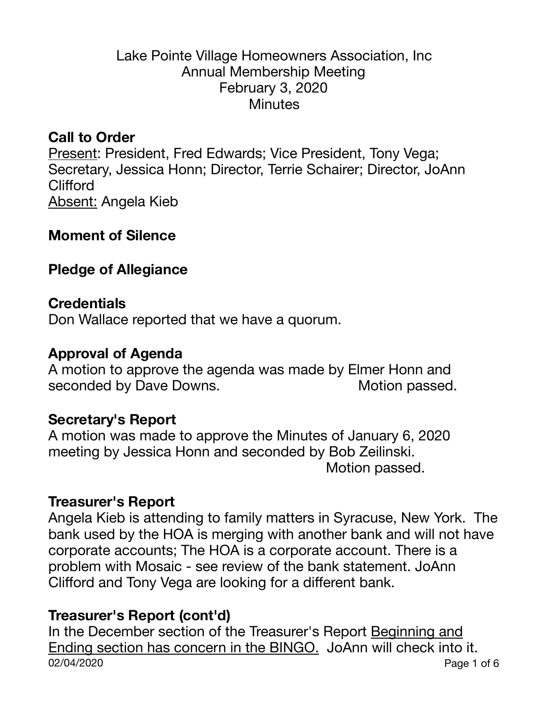### Lake Pointe Village Homeowners Association, Inc Annual Membership Meeting February 3, 2020 **Minutes**

### **Call to Order**

Present: President, Fred Edwards; Vice President, Tony Vega; Secretary, Jessica Honn; Director, Terrie Schairer; Director, JoAnn **Clifford** Absent: Angela Kieb

#### **Moment of Silence**

#### **Pledge of Allegiance**

#### **Credentials**

Don Wallace reported that we have a quorum.

#### **Approval of Agenda**

A motion to approve the agenda was made by Elmer Honn and seconded by Dave Downs. *Motion passed.* 

#### **Secretary's Report**

A motion was made to approve the Minutes of January 6, 2020 meeting by Jessica Honn and seconded by Bob Zeilinski. Motion passed.

#### **Treasurer's Report**

Angela Kieb is attending to family matters in Syracuse, New York. The bank used by the HOA is merging with another bank and will not have corporate accounts; The HOA is a corporate account. There is a problem with Mosaic - see review of the bank statement. JoAnn Clifford and Tony Vega are looking for a different bank.

# **Treasurer's Report (cont'd)**

In the December section of the Treasurer's Report Beginning and Ending section has concern in the BINGO. JoAnn will check into it. 02/04/2020 Page 1 of 6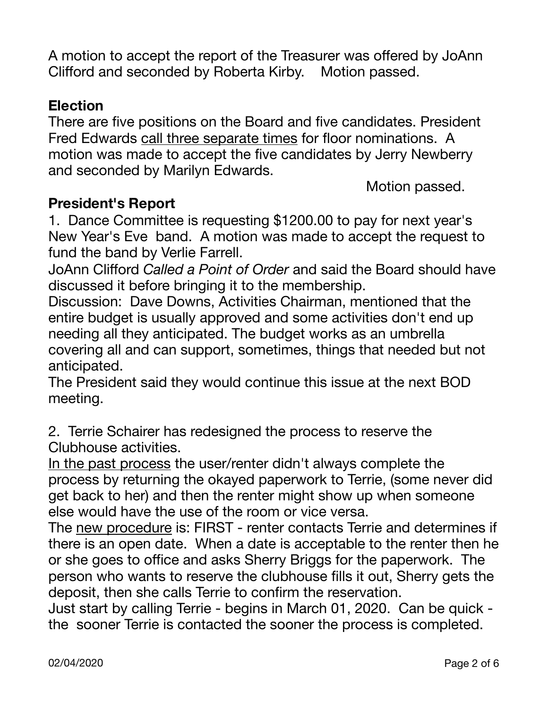A motion to accept the report of the Treasurer was offered by JoAnn Clifford and seconded by Roberta Kirby. Motion passed.

# **Election**

There are five positions on the Board and five candidates. President Fred Edwards call three separate times for floor nominations. A motion was made to accept the five candidates by Jerry Newberry and seconded by Marilyn Edwards.

 Motion passed.

# **President's Report**

1. Dance Committee is requesting \$1200.00 to pay for next year's New Year's Eve band. A motion was made to accept the request to fund the band by Verlie Farrell.

JoAnn Clifford *Called a Point of Order* and said the Board should have discussed it before bringing it to the membership.

Discussion: Dave Downs, Activities Chairman, mentioned that the entire budget is usually approved and some activities don't end up needing all they anticipated. The budget works as an umbrella covering all and can support, sometimes, things that needed but not anticipated.

The President said they would continue this issue at the next BOD meeting.

2. Terrie Schairer has redesigned the process to reserve the Clubhouse activities.

In the past process the user/renter didn't always complete the process by returning the okayed paperwork to Terrie, (some never did get back to her) and then the renter might show up when someone else would have the use of the room or vice versa.

The new procedure is: FIRST - renter contacts Terrie and determines if there is an open date. When a date is acceptable to the renter then he or she goes to office and asks Sherry Briggs for the paperwork. The person who wants to reserve the clubhouse fills it out, Sherry gets the deposit, then she calls Terrie to confirm the reservation.

Just start by calling Terrie - begins in March 01, 2020. Can be quick the sooner Terrie is contacted the sooner the process is completed.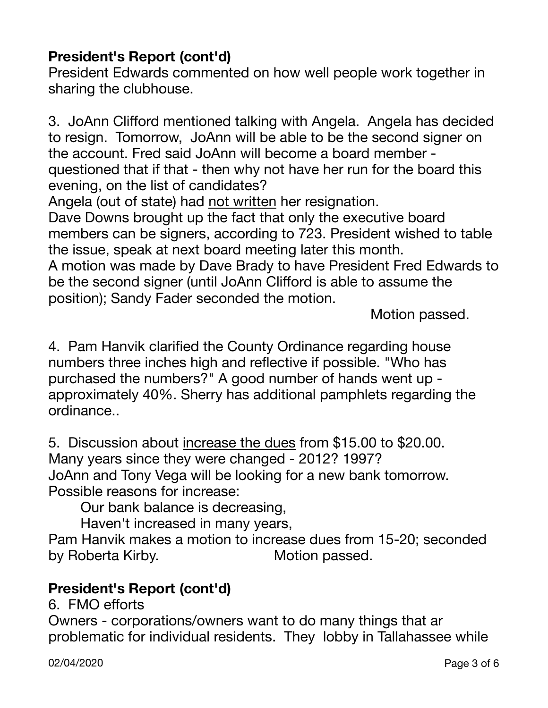# **President's Report (cont'd)**

President Edwards commented on how well people work together in sharing the clubhouse.

3. JoAnn Clifford mentioned talking with Angela. Angela has decided to resign. Tomorrow, JoAnn will be able to be the second signer on the account. Fred said JoAnn will become a board member questioned that if that - then why not have her run for the board this evening, on the list of candidates?

Angela (out of state) had not written her resignation.

Dave Downs brought up the fact that only the executive board members can be signers, according to 723. President wished to table the issue, speak at next board meeting later this month.

A motion was made by Dave Brady to have President Fred Edwards to be the second signer (until JoAnn Clifford is able to assume the position); Sandy Fader seconded the motion. 

 Motion passed.

4. Pam Hanvik clarified the County Ordinance regarding house numbers three inches high and reflective if possible. "Who has purchased the numbers?" A good number of hands went up approximately 40%. Sherry has additional pamphlets regarding the ordinance..

5. Discussion about increase the dues from \$15.00 to \$20.00. Many years since they were changed - 2012? 1997? JoAnn and Tony Vega will be looking for a new bank tomorrow. Possible reasons for increase:

Our bank balance is decreasing,

Haven't increased in many years,

Pam Hanvik makes a motion to increase dues from 15-20; seconded by Roberta Kirby. Motion passed.

# **President's Report (cont'd)**

6. FMO efforts

Owners - corporations/owners want to do many things that ar problematic for individual residents. They lobby in Tallahassee while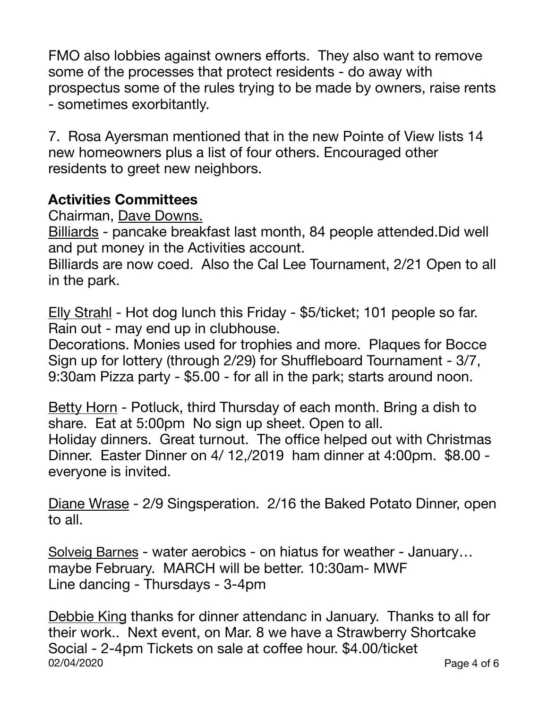FMO also lobbies against owners efforts. They also want to remove some of the processes that protect residents - do away with prospectus some of the rules trying to be made by owners, raise rents - sometimes exorbitantly.

7. Rosa Ayersman mentioned that in the new Pointe of View lists 14 new homeowners plus a list of four others. Encouraged other residents to greet new neighbors.

# **Activities Committees**

Chairman, Dave Downs.

Billiards - pancake breakfast last month, 84 people attended.Did well and put money in the Activities account.

Billiards are now coed. Also the Cal Lee Tournament, 2/21 Open to all in the park.

Elly Strahl - Hot dog lunch this Friday - \$5/ticket; 101 people so far. Rain out - may end up in clubhouse.

Decorations. Monies used for trophies and more. Plaques for Bocce Sign up for lottery (through 2/29) for Shuffleboard Tournament - 3/7, 9:30am Pizza party - \$5.00 - for all in the park; starts around noon.

Betty Horn - Potluck, third Thursday of each month. Bring a dish to share. Eat at 5:00pm No sign up sheet. Open to all. Holiday dinners. Great turnout. The office helped out with Christmas Dinner. Easter Dinner on 4/ 12,/2019 ham dinner at 4:00pm. \$8.00 everyone is invited.

Diane Wrase - 2/9 Singsperation. 2/16 the Baked Potato Dinner, open to all.

Solveig Barnes - water aerobics - on hiatus for weather - January… maybe February. MARCH will be better. 10:30am- MWF Line dancing - Thursdays - 3-4pm

Debbie King thanks for dinner attendanc in January. Thanks to all for their work.. Next event, on Mar. 8 we have a Strawberry Shortcake Social - 2-4pm Tickets on sale at coffee hour. \$4.00/ticket 02/04/2020 Page 4 of 6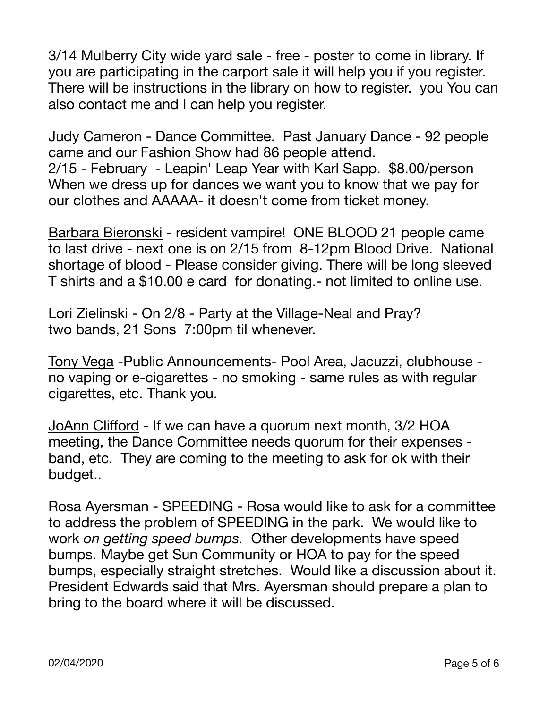3/14 Mulberry City wide yard sale - free - poster to come in library. If you are participating in the carport sale it will help you if you register. There will be instructions in the library on how to register. you You can also contact me and I can help you register.

Judy Cameron - Dance Committee. Past January Dance - 92 people came and our Fashion Show had 86 people attend. 2/15 - February - Leapin' Leap Year with Karl Sapp. \$8.00/person When we dress up for dances we want you to know that we pay for our clothes and AAAAA- it doesn't come from ticket money.

Barbara Bieronski - resident vampire! ONE BLOOD 21 people came to last drive - next one is on 2/15 from 8-12pm Blood Drive. National shortage of blood - Please consider giving. There will be long sleeved T shirts and a \$10.00 e card for donating.- not limited to online use.

Lori Zielinski - On 2/8 - Party at the Village-Neal and Pray? two bands, 21 Sons 7:00pm til whenever.

Tony Vega -Public Announcements- Pool Area, Jacuzzi, clubhouse no vaping or e-cigarettes - no smoking - same rules as with regular cigarettes, etc. Thank you.

JoAnn Clifford - If we can have a quorum next month, 3/2 HOA meeting, the Dance Committee needs quorum for their expenses band, etc. They are coming to the meeting to ask for ok with their budget..

Rosa Ayersman - SPEEDING - Rosa would like to ask for a committee to address the problem of SPEEDING in the park. We would like to work *on getting speed bumps.* Other developments have speed bumps. Maybe get Sun Community or HOA to pay for the speed bumps, especially straight stretches. Would like a discussion about it. President Edwards said that Mrs. Ayersman should prepare a plan to bring to the board where it will be discussed.